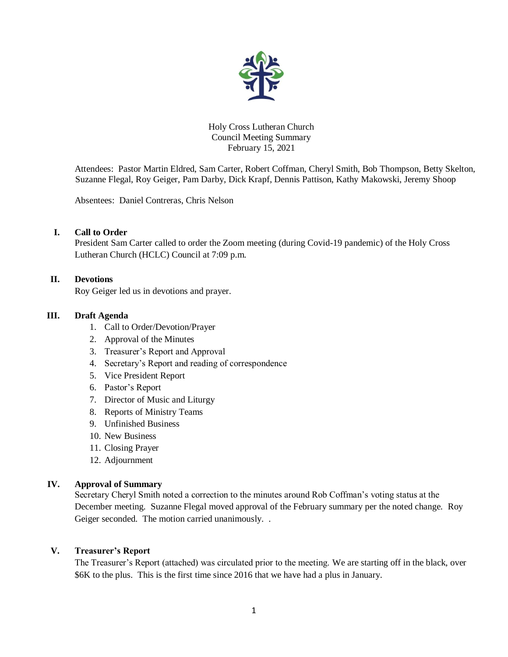

Holy Cross Lutheran Church Council Meeting Summary February 15, 2021

Attendees: Pastor Martin Eldred, Sam Carter, Robert Coffman, Cheryl Smith, Bob Thompson, Betty Skelton, Suzanne Flegal, Roy Geiger, Pam Darby, Dick Krapf, Dennis Pattison, Kathy Makowski, Jeremy Shoop

Absentees: Daniel Contreras, Chris Nelson

# **I. Call to Order**

President Sam Carter called to order the Zoom meeting (during Covid-19 pandemic) of the Holy Cross Lutheran Church (HCLC) Council at 7:09 p.m.

#### **II. Devotions**

Roy Geiger led us in devotions and prayer.

#### **III. Draft Agenda**

- 1. Call to Order/Devotion/Prayer
- 2. Approval of the Minutes
- 3. Treasurer's Report and Approval
- 4. Secretary's Report and reading of correspondence
- 5. Vice President Report
- 6. Pastor's Report
- 7. Director of Music and Liturgy
- 8. Reports of Ministry Teams
- 9. Unfinished Business
- 10. New Business
- 11. Closing Prayer
- 12. Adjournment

#### **IV. Approval of Summary**

Secretary Cheryl Smith noted a correction to the minutes around Rob Coffman's voting status at the December meeting. Suzanne Flegal moved approval of the February summary per the noted change. Roy Geiger seconded. The motion carried unanimously. .

#### **V. Treasurer's Report**

The Treasurer's Report (attached) was circulated prior to the meeting. We are starting off in the black, over \$6K to the plus. This is the first time since 2016 that we have had a plus in January.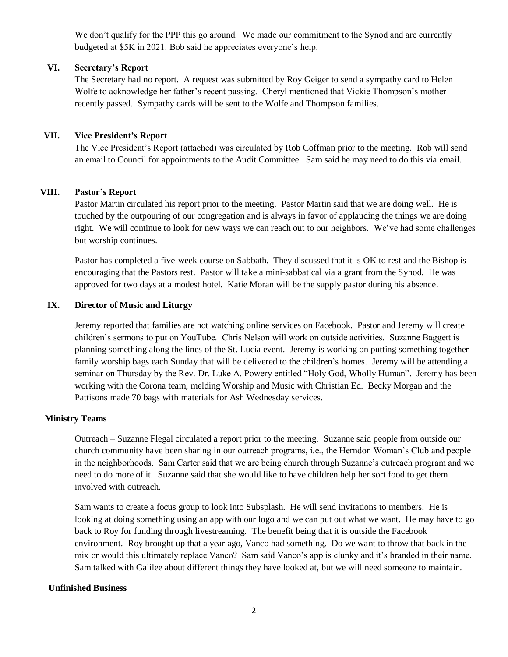We don't qualify for the PPP this go around. We made our commitment to the Synod and are currently budgeted at \$5K in 2021. Bob said he appreciates everyone's help.

# **VI. Secretary's Report**

The Secretary had no report. A request was submitted by Roy Geiger to send a sympathy card to Helen Wolfe to acknowledge her father's recent passing. Cheryl mentioned that Vickie Thompson's mother recently passed. Sympathy cards will be sent to the Wolfe and Thompson families.

# **VII. Vice President's Report**

The Vice President's Report (attached) was circulated by Rob Coffman prior to the meeting. Rob will send an email to Council for appointments to the Audit Committee. Sam said he may need to do this via email.

# **VIII. Pastor's Report**

Pastor Martin circulated his report prior to the meeting. Pastor Martin said that we are doing well. He is touched by the outpouring of our congregation and is always in favor of applauding the things we are doing right. We will continue to look for new ways we can reach out to our neighbors. We've had some challenges but worship continues.

Pastor has completed a five-week course on Sabbath. They discussed that it is OK to rest and the Bishop is encouraging that the Pastors rest. Pastor will take a mini-sabbatical via a grant from the Synod. He was approved for two days at a modest hotel. Katie Moran will be the supply pastor during his absence.

# **IX. Director of Music and Liturgy**

Jeremy reported that families are not watching online services on Facebook. Pastor and Jeremy will create children's sermons to put on YouTube. Chris Nelson will work on outside activities. Suzanne Baggett is planning something along the lines of the St. Lucia event. Jeremy is working on putting something together family worship bags each Sunday that will be delivered to the children's homes. Jeremy will be attending a seminar on Thursday by the Rev. Dr. Luke A. Powery entitled "Holy God, Wholly Human". Jeremy has been working with the Corona team, melding Worship and Music with Christian Ed. Becky Morgan and the Pattisons made 70 bags with materials for Ash Wednesday services.

# **Ministry Teams**

Outreach – Suzanne Flegal circulated a report prior to the meeting. Suzanne said people from outside our church community have been sharing in our outreach programs, i.e., the Herndon Woman's Club and people in the neighborhoods. Sam Carter said that we are being church through Suzanne's outreach program and we need to do more of it. Suzanne said that she would like to have children help her sort food to get them involved with outreach.

Sam wants to create a focus group to look into Subsplash. He will send invitations to members. He is looking at doing something using an app with our logo and we can put out what we want. He may have to go back to Roy for funding through livestreaming. The benefit being that it is outside the Facebook environment. Roy brought up that a year ago, Vanco had something. Do we want to throw that back in the mix or would this ultimately replace Vanco? Sam said Vanco's app is clunky and it's branded in their name. Sam talked with Galilee about different things they have looked at, but we will need someone to maintain.

# **Unfinished Business**